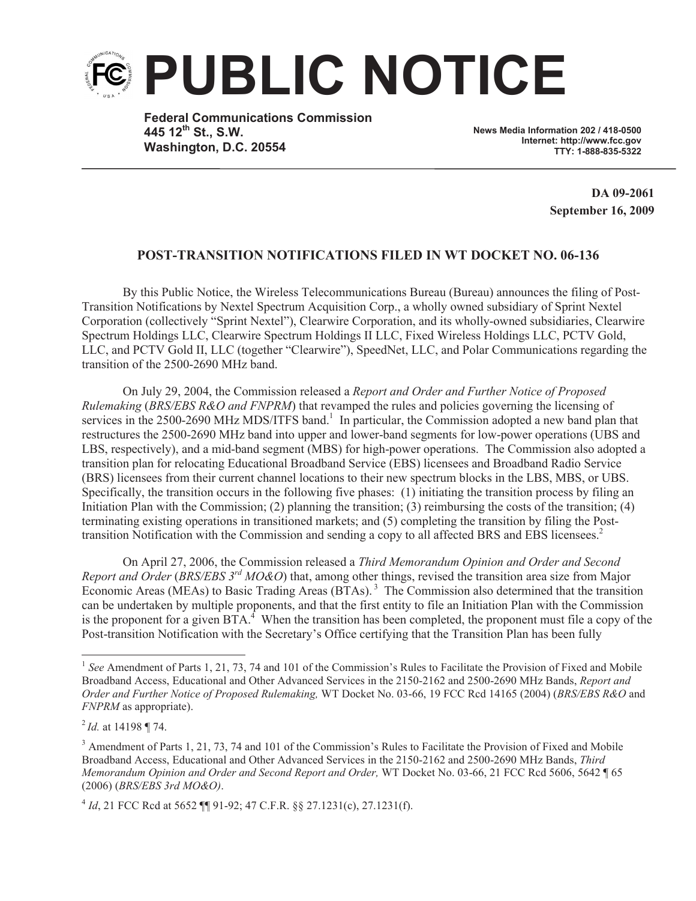

**Federal Communications Commission 445 12th St., S.W. Washington, D.C. 20554**

**News Media Information 202 / 418-0500 Internet: http://www.fcc.gov TTY: 1-888-835-5322**

> **DA 09-2061 September 16, 2009**

## **POST-TRANSITION NOTIFICATIONS FILED IN WT DOCKET NO. 06-136**

By this Public Notice, the Wireless Telecommunications Bureau (Bureau) announces the filing of Post-Transition Notifications by Nextel Spectrum Acquisition Corp., a wholly owned subsidiary of Sprint Nextel Corporation (collectively "Sprint Nextel"), Clearwire Corporation, and its wholly-owned subsidiaries, Clearwire Spectrum Holdings LLC, Clearwire Spectrum Holdings II LLC, Fixed Wireless Holdings LLC, PCTV Gold, LLC, and PCTV Gold II, LLC (together "Clearwire"), SpeedNet, LLC, and Polar Communications regarding the transition of the 2500-2690 MHz band.

On July 29, 2004, the Commission released a *Report and Order and Further Notice of Proposed Rulemaking* (*BRS/EBS R&O and FNPRM*) that revamped the rules and policies governing the licensing of services in the 2500-2690 MHz MDS/ITFS band.<sup>1</sup> In particular, the Commission adopted a new band plan that restructures the 2500-2690 MHz band into upper and lower-band segments for low-power operations (UBS and LBS, respectively), and a mid-band segment (MBS) for high-power operations. The Commission also adopted a transition plan for relocating Educational Broadband Service (EBS) licensees and Broadband Radio Service (BRS) licensees from their current channel locations to their new spectrum blocks in the LBS, MBS, or UBS. Specifically, the transition occurs in the following five phases: (1) initiating the transition process by filing an Initiation Plan with the Commission; (2) planning the transition; (3) reimbursing the costs of the transition; (4) terminating existing operations in transitioned markets; and (5) completing the transition by filing the Posttransition Notification with the Commission and sending a copy to all affected BRS and EBS licensees.<sup>2</sup>

On April 27, 2006, the Commission released a *Third Memorandum Opinion and Order and Second Report and Order* (*BRS/EBS 3rd MO&O*) that, among other things, revised the transition area size from Major Economic Areas (MEAs) to Basic Trading Areas (BTAs).<sup>3</sup> The Commission also determined that the transition can be undertaken by multiple proponents, and that the first entity to file an Initiation Plan with the Commission is the proponent for a given  $BTA$ <sup>4</sup>. When the transition has been completed, the proponent must file a copy of the Post-transition Notification with the Secretary's Office certifying that the Transition Plan has been fully

<sup>&</sup>lt;sup>1</sup> See Amendment of Parts 1, 21, 73, 74 and 101 of the Commission's Rules to Facilitate the Provision of Fixed and Mobile Broadband Access, Educational and Other Advanced Services in the 2150-2162 and 2500-2690 MHz Bands, *Report and Order and Further Notice of Proposed Rulemaking,* WT Docket No. 03-66, 19 FCC Rcd 14165 (2004) (*BRS/EBS R&O* and *FNPRM* as appropriate).

<sup>2</sup> *Id.* at 14198 ¶ 74.

<sup>&</sup>lt;sup>3</sup> Amendment of Parts 1, 21, 73, 74 and 101 of the Commission's Rules to Facilitate the Provision of Fixed and Mobile Broadband Access, Educational and Other Advanced Services in the 2150-2162 and 2500-2690 MHz Bands, *Third Memorandum Opinion and Order and Second Report and Order,* WT Docket No. 03-66, 21 FCC Rcd 5606, 5642 ¶ 65 (2006) (*BRS/EBS 3rd MO&O)*.

<sup>4</sup> *Id*, 21 FCC Rcd at 5652 ¶¶ 91-92; 47 C.F.R. §§ 27.1231(c), 27.1231(f).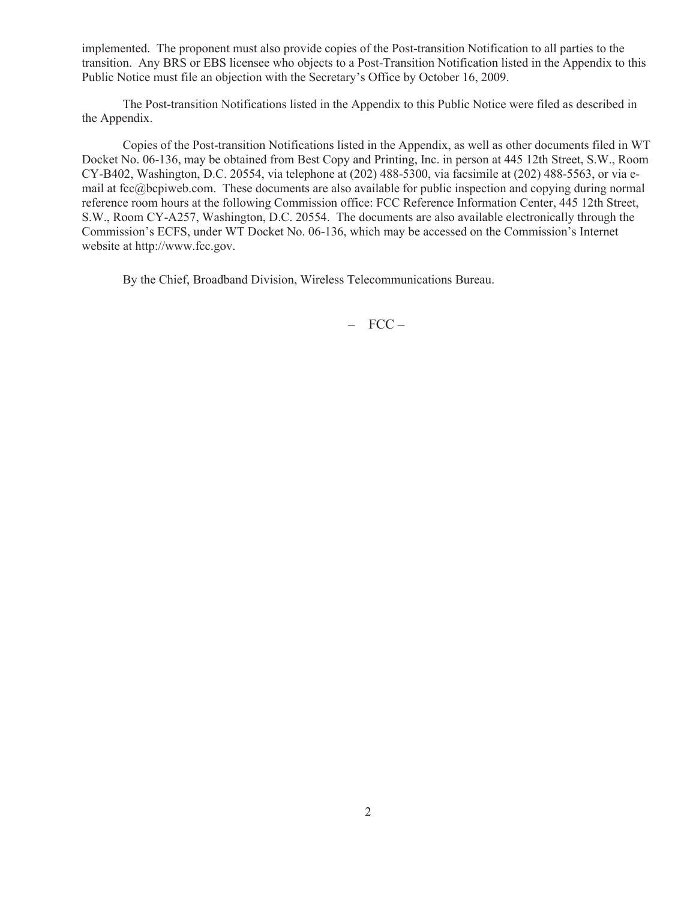implemented. The proponent must also provide copies of the Post-transition Notification to all parties to the transition. Any BRS or EBS licensee who objects to a Post-Transition Notification listed in the Appendix to this Public Notice must file an objection with the Secretary's Office by October 16, 2009.

The Post-transition Notifications listed in the Appendix to this Public Notice were filed as described in the Appendix.

Copies of the Post-transition Notifications listed in the Appendix, as well as other documents filed in WT Docket No. 06-136, may be obtained from Best Copy and Printing, Inc. in person at 445 12th Street, S.W., Room CY-B402, Washington, D.C. 20554, via telephone at (202) 488-5300, via facsimile at (202) 488-5563, or via email at fcc@bcpiweb.com. These documents are also available for public inspection and copying during normal reference room hours at the following Commission office: FCC Reference Information Center, 445 12th Street, S.W., Room CY-A257, Washington, D.C. 20554. The documents are also available electronically through the Commission's ECFS, under WT Docket No. 06-136, which may be accessed on the Commission's Internet website at http://www.fcc.gov.

By the Chief, Broadband Division, Wireless Telecommunications Bureau.

– FCC –